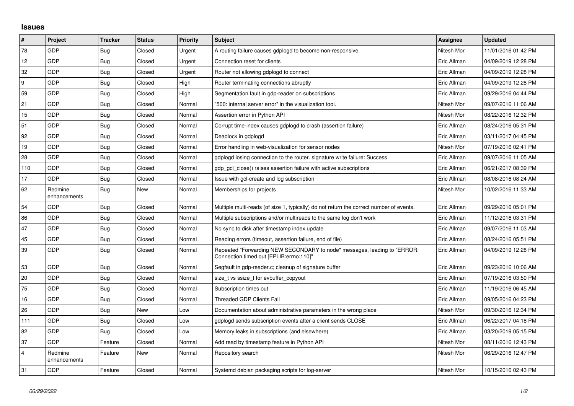## **Issues**

| $\vert$ #      | Project                 | <b>Tracker</b> | <b>Status</b> | <b>Priority</b> | <b>Subject</b>                                                                                                      | <b>Assignee</b> | <b>Updated</b>      |
|----------------|-------------------------|----------------|---------------|-----------------|---------------------------------------------------------------------------------------------------------------------|-----------------|---------------------|
| 78             | GDP                     | Bug            | Closed        | Urgent          | A routing failure causes gdplogd to become non-responsive.                                                          | Nitesh Mor      | 11/01/2016 01:42 PM |
| 12             | GDP                     | Bug            | Closed        | Urgent          | Connection reset for clients                                                                                        | Eric Allman     | 04/09/2019 12:28 PM |
| 32             | <b>GDP</b>              | <b>Bug</b>     | Closed        | Urgent          | Router not allowing gdplogd to connect                                                                              | Eric Allman     | 04/09/2019 12:28 PM |
| 9              | GDP                     | Bug            | Closed        | High            | Router terminating connections abruptly                                                                             | Eric Allman     | 04/09/2019 12:28 PM |
| 59             | GDP                     | Bug            | Closed        | High            | Segmentation fault in gdp-reader on subscriptions                                                                   | Eric Allman     | 09/29/2016 04:44 PM |
| 21             | <b>GDP</b>              | Bug            | Closed        | Normal          | "500: internal server error" in the visualization tool.                                                             | Nitesh Mor      | 09/07/2016 11:06 AM |
| 15             | GDP                     | <b>Bug</b>     | Closed        | Normal          | Assertion error in Python API                                                                                       | Nitesh Mor      | 08/22/2016 12:32 PM |
| 51             | GDP                     | <b>Bug</b>     | Closed        | Normal          | Corrupt time-index causes gdplogd to crash (assertion failure)                                                      | Eric Allman     | 08/24/2016 05:31 PM |
| 92             | <b>GDP</b>              | <b>Bug</b>     | Closed        | Normal          | Deadlock in gdplogd                                                                                                 | Eric Allman     | 03/11/2017 04:45 PM |
| 19             | GDP                     | Bug            | Closed        | Normal          | Error handling in web-visualization for sensor nodes                                                                | Nitesh Mor      | 07/19/2016 02:41 PM |
| 28             | GDP                     | Bug            | Closed        | Normal          | gdplogd losing connection to the router, signature write failure: Success                                           | Eric Allman     | 09/07/2016 11:05 AM |
| 110            | <b>GDP</b>              | <b>Bug</b>     | Closed        | Normal          | gdp gcl close() raises assertion failure with active subscriptions                                                  | Eric Allman     | 06/21/2017 08:39 PM |
| 17             | <b>GDP</b>              | Bug            | Closed        | Normal          | Issue with gcl-create and log subscription                                                                          | Eric Allman     | 08/08/2016 08:24 AM |
| 62             | Redmine<br>enhancements | Bug            | New           | Normal          | Memberships for projects                                                                                            | Nitesh Mor      | 10/02/2016 11:33 AM |
| 54             | GDP                     | Bug            | Closed        | Normal          | Multiple multi-reads (of size 1, typically) do not return the correct number of events.                             | Eric Allman     | 09/29/2016 05:01 PM |
| 86             | <b>GDP</b>              | <b>Bug</b>     | Closed        | Normal          | Multiple subscriptions and/or multireads to the same log don't work                                                 | Eric Allman     | 11/12/2016 03:31 PM |
| 47             | GDP                     | Bug            | Closed        | Normal          | No sync to disk after timestamp index update                                                                        | Eric Allman     | 09/07/2016 11:03 AM |
| 45             | GDP                     | <b>Bug</b>     | Closed        | Normal          | Reading errors (timeout, assertion failure, end of file)                                                            | Eric Allman     | 08/24/2016 05:51 PM |
| 39             | <b>GDP</b>              | Bug            | Closed        | Normal          | Repeated "Forwarding NEW SECONDARY to node" messages, leading to "ERROR:<br>Connection timed out [EPLIB:errno:110]" | Eric Allman     | 04/09/2019 12:28 PM |
| 53             | GDP                     | Bug            | Closed        | Normal          | Segfault in gdp-reader.c; cleanup of signature buffer                                                               | Eric Allman     | 09/23/2016 10:06 AM |
| 20             | GDP                     | Bug            | Closed        | Normal          | size_t vs ssize_t for evbuffer_copyout                                                                              | Eric Allman     | 07/19/2016 03:50 PM |
| 75             | <b>GDP</b>              | Bug            | Closed        | Normal          | Subscription times out                                                                                              | Eric Allman     | 11/19/2016 06:45 AM |
| 16             | GDP                     | Bug            | Closed        | Normal          | <b>Threaded GDP Clients Fail</b>                                                                                    | Eric Allman     | 09/05/2016 04:23 PM |
| 26             | GDP                     | Bug            | <b>New</b>    | Low             | Documentation about administrative parameters in the wrong place                                                    | Nitesh Mor      | 09/30/2016 12:34 PM |
| 111            | GDP                     | Bug            | Closed        | Low             | gdplogd sends subscription events after a client sends CLOSE                                                        | Eric Allman     | 06/22/2017 04:18 PM |
| 82             | <b>GDP</b>              | Bug            | Closed        | Low             | Memory leaks in subscriptions (and elsewhere)                                                                       | Eric Allman     | 03/20/2019 05:15 PM |
| 37             | GDP                     | Feature        | Closed        | Normal          | Add read by timestamp feature in Python API                                                                         | Nitesh Mor      | 08/11/2016 12:43 PM |
| $\overline{4}$ | Redmine<br>enhancements | Feature        | New           | Normal          | Repository search                                                                                                   | Nitesh Mor      | 06/29/2016 12:47 PM |
| 31             | <b>GDP</b>              | Feature        | Closed        | Normal          | Systemd debian packaging scripts for log-server                                                                     | Nitesh Mor      | 10/15/2016 02:43 PM |